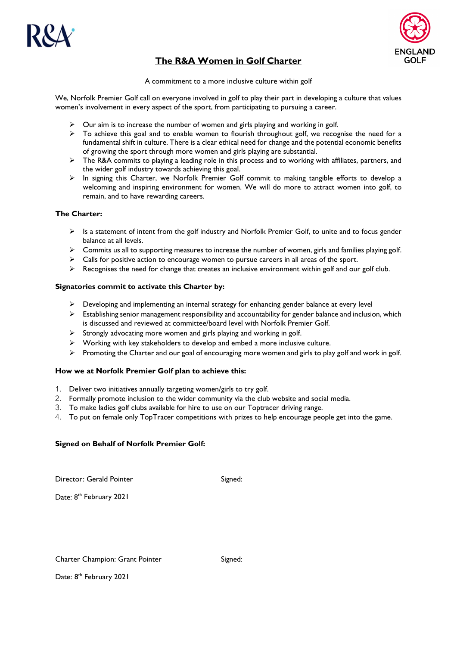



# **The R&A Women in Golf Charter**

A commitment to a more inclusive culture within golf

We, Norfolk Premier Golf call on everyone involved in golf to play their part in developing a culture that values women's involvement in every aspect of the sport, from participating to pursuing a career.

- Our aim is to increase the number of women and girls playing and working in golf.
- $\triangleright$  To achieve this goal and to enable women to flourish throughout golf, we recognise the need for a fundamental shift in culture. There is a clear ethical need for change and the potential economic benefits of growing the sport through more women and girls playing are substantial.
- > The R&A commits to playing a leading role in this process and to working with affiliates, partners, and the wider golf industry towards achieving this goal.
- $\triangleright$  In signing this Charter, we Norfolk Premier Golf commit to making tangible efforts to develop a welcoming and inspiring environment for women. We will do more to attract women into golf, to remain, and to have rewarding careers.

# **The Charter:**

- $\triangleright$  Is a statement of intent from the golf industry and Norfolk Premier Golf, to unite and to focus gender balance at all levels.
- $\triangleright$  Commits us all to supporting measures to increase the number of women, girls and families playing golf.
- $\triangleright$  Calls for positive action to encourage women to pursue careers in all areas of the sport.
- $\triangleright$  Recognises the need for change that creates an inclusive environment within golf and our golf club.

#### **Signatories commit to activate this Charter by:**

- $\triangleright$  Developing and implementing an internal strategy for enhancing gender balance at every level
- $\triangleright$  Establishing senior management responsibility and accountability for gender balance and inclusion, which is discussed and reviewed at committee/board level with Norfolk Premier Golf.
- $\triangleright$  Strongly advocating more women and girls playing and working in golf.
- $\triangleright$  Working with key stakeholders to develop and embed a more inclusive culture.
- $\triangleright$  Promoting the Charter and our goal of encouraging more women and girls to play golf and work in golf.

## **How we at Norfolk Premier Golf plan to achieve this:**

- 1. Deliver two initiatives annually targeting women/girls to try golf.
- 2. Formally promote inclusion to the wider community via the club website and social media.
- 3. To make ladies golf clubs available for hire to use on our Toptracer driving range.
- 4. To put on female only TopTracer competitions with prizes to help encourage people get into the game.

## **Signed on Behalf of Norfolk Premier Golf:**

Director: Gerald Pointer Signed:

Date: 8<sup>th</sup> February 2021

Date: 8<sup>th</sup> February 2021